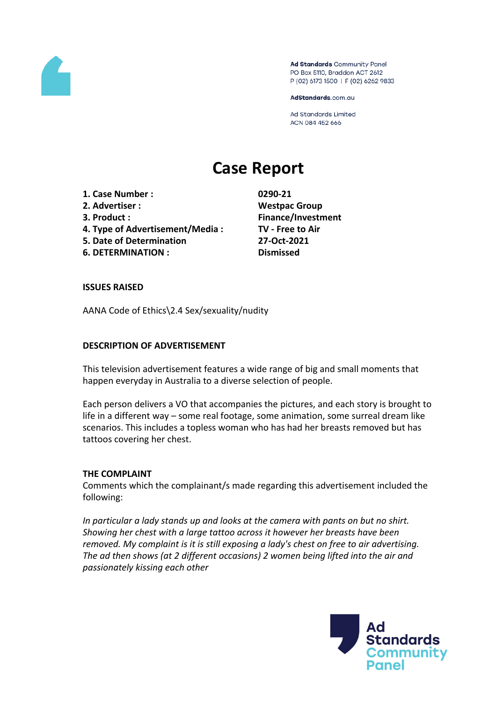

Ad Standards Community Panel PO Box 5110, Braddon ACT 2612 P (02) 6173 1500 | F (02) 6262 9833

AdStandards.com.au

**Ad Standards Limited** ACN 084 452 666

# **Case Report**

- **1. Case Number : 0290-21**
- **2. Advertiser : Westpac Group**
- 
- **4. Type of Advertisement/Media : TV - Free to Air**
- **5. Date of Determination 27-Oct-2021**
- **6. DETERMINATION : Dismissed**

**3. Product : Finance/Investment**

# **ISSUES RAISED**

AANA Code of Ethics\2.4 Sex/sexuality/nudity

# **DESCRIPTION OF ADVERTISEMENT**

This television advertisement features a wide range of big and small moments that happen everyday in Australia to a diverse selection of people.

Each person delivers a VO that accompanies the pictures, and each story is brought to life in a different way – some real footage, some animation, some surreal dream like scenarios. This includes a topless woman who has had her breasts removed but has tattoos covering her chest.

# **THE COMPLAINT**

Comments which the complainant/s made regarding this advertisement included the following:

*In particular a lady stands up and looks at the camera with pants on but no shirt. Showing her chest with a large tattoo across it however her breasts have been removed. My complaint is it is still exposing a lady's chest on free to air advertising. The ad then shows (at 2 different occasions) 2 women being lifted into the air and passionately kissing each other*

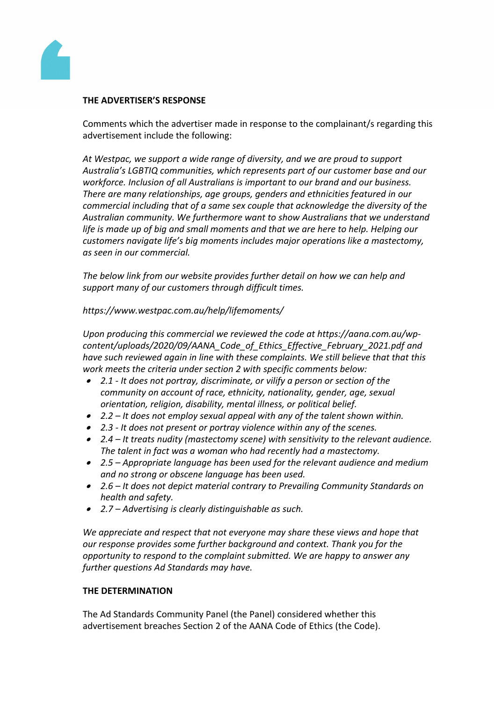

# **THE ADVERTISER'S RESPONSE**

Comments which the advertiser made in response to the complainant/s regarding this advertisement include the following:

*At Westpac, we support a wide range of diversity, and we are proud to support Australia's LGBTIQ communities, which represents part of our customer base and our workforce. Inclusion of all Australians is important to our brand and our business. There are many relationships, age groups, genders and ethnicities featured in our commercial including that of a same sex couple that acknowledge the diversity of the Australian community. We furthermore want to show Australians that we understand life is made up of big and small moments and that we are here to help. Helping our customers navigate life's big moments includes major operations like a mastectomy, as seen in our commercial.*

*The below link from our website provides further detail on how we can help and support many of our customers through difficult times.*

*https://www.westpac.com.au/help/lifemoments/*

*Upon producing this commercial we reviewed the code at https://aana.com.au/wpcontent/uploads/2020/09/AANA\_Code\_of\_Ethics\_Effective\_February\_2021.pdf and have such reviewed again in line with these complaints. We still believe that that this work meets the criteria under section 2 with specific comments below:* 

- *2.1 - It does not portray, discriminate, or vilify a person or section of the community on account of race, ethnicity, nationality, gender, age, sexual orientation, religion, disability, mental illness, or political belief.*
- *2.2 – It does not employ sexual appeal with any of the talent shown within.*
- *2.3 - It does not present or portray violence within any of the scenes.*
- *2.4 – It treats nudity (mastectomy scene) with sensitivity to the relevant audience. The talent in fact was a woman who had recently had a mastectomy.*
- *2.5 – Appropriate language has been used for the relevant audience and medium and no strong or obscene language has been used.*
- *2.6 – It does not depict material contrary to Prevailing Community Standards on health and safety.*
- *2.7 – Advertising is clearly distinguishable as such.*

*We appreciate and respect that not everyone may share these views and hope that our response provides some further background and context. Thank you for the opportunity to respond to the complaint submitted. We are happy to answer any further questions Ad Standards may have.*

# **THE DETERMINATION**

The Ad Standards Community Panel (the Panel) considered whether this advertisement breaches Section 2 of the AANA Code of Ethics (the Code).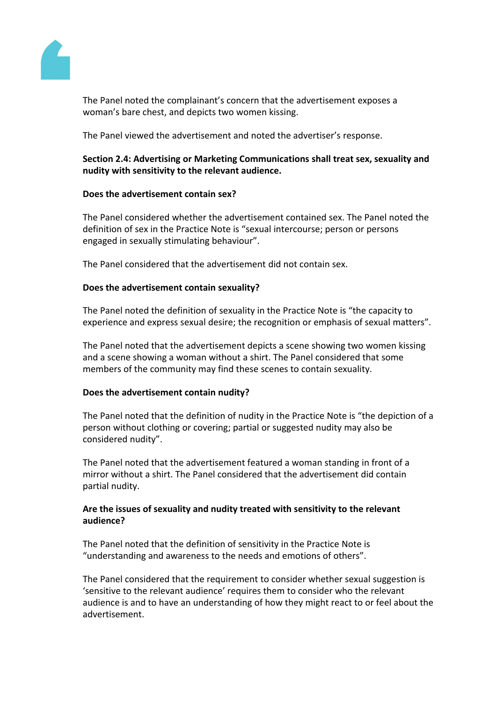

The Panel noted the complainant's concern that the advertisement exposes a woman's bare chest, and depicts two women kissing.

The Panel viewed the advertisement and noted the advertiser's response.

# **Section 2.4: Advertising or Marketing Communications shall treat sex, sexuality and nudity with sensitivity to the relevant audience.**

# **Does the advertisement contain sex?**

The Panel considered whether the advertisement contained sex. The Panel noted the definition of sex in the Practice Note is "sexual intercourse; person or persons engaged in sexually stimulating behaviour".

The Panel considered that the advertisement did not contain sex.

# **Does the advertisement contain sexuality?**

The Panel noted the definition of sexuality in the Practice Note is "the capacity to experience and express sexual desire; the recognition or emphasis of sexual matters".

The Panel noted that the advertisement depicts a scene showing two women kissing and a scene showing a woman without a shirt. The Panel considered that some members of the community may find these scenes to contain sexuality.

# **Does the advertisement contain nudity?**

The Panel noted that the definition of nudity in the Practice Note is "the depiction of a person without clothing or covering; partial or suggested nudity may also be considered nudity".

The Panel noted that the advertisement featured a woman standing in front of a mirror without a shirt. The Panel considered that the advertisement did contain partial nudity.

# **Are the issues of sexuality and nudity treated with sensitivity to the relevant audience?**

The Panel noted that the definition of sensitivity in the Practice Note is "understanding and awareness to the needs and emotions of others".

The Panel considered that the requirement to consider whether sexual suggestion is 'sensitive to the relevant audience' requires them to consider who the relevant audience is and to have an understanding of how they might react to or feel about the advertisement.